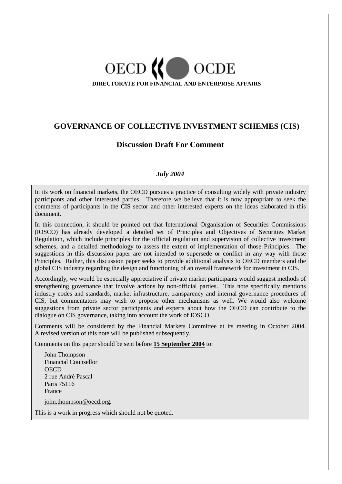# OECD<sup>(</sup>  $\Box$  OCDE **DIRECTORATE FOR FINANCIAL AND ENTERPRISE AFFAIRS**

## **GOVERNANCE OF COLLECTIVE INVESTMENT SCHEMES (CIS)**

## **Discussion Draft For Comment**

## *July 2004*

In its work on financial markets, the OECD pursues a practice of consulting widely with private industry participants and other interested parties. Therefore we believe that it is now appropriate to seek the comments of participants in the CIS sector and other interested experts on the ideas elaborated in this document.

In this connection, it should be pointed out that International Organisation of Securities Commissions (IOSCO) has already developed a detailed set of Principles and Objectives of Securities Market Regulation, which include principles for the official regulation and supervision of collective investment schemes, and a detailed methodology to assess the extent of implementation of those Principles. The suggestions in this discussion paper are not intended to supersede or conflict in any way with those Principles. Rather, this discussion paper seeks to provide additional analysis to OECD members and the global CIS industry regarding the design and functioning of an overall framework for investment in CIS.

Accordingly, we would be especially appreciative if private market participants would suggest methods of strengthening governance that involve actions by non-official parties. This note specifically mentions industry codes and standards, market infrastructure, transparency and internal governance procedures of CIS, but commentators may wish to propose other mechanisms as well. We would also welcome suggestions from private sector participants and experts about how the OECD can contribute to the dialogue on CIS governance, taking into account the work of IOSCO.

Comments will be considered by the Financial Markets Committee at its meeting in October 2004. A revised version of this note will be published subsequently.

Comments on this paper should be sent before **15 September 2004** to:

John Thompson Financial Counsellor **OECD** 2 rue André Pascal Paris 75116 France john.thompson@oecd.org.

This is a work in progress which should not be quoted.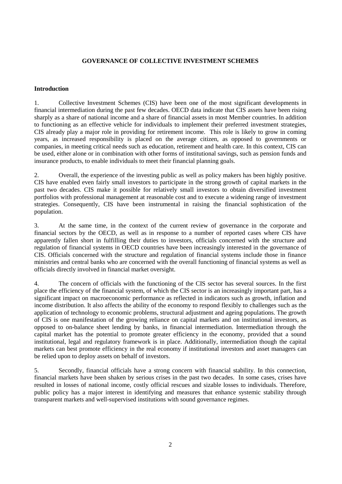### **GOVERNANCE OF COLLECTIVE INVESTMENT SCHEMES**

#### **Introduction**

1. Collective Investment Schemes (CIS) have been one of the most significant developments in financial intermediation during the past few decades. OECD data indicate that CIS assets have been rising sharply as a share of national income and a share of financial assets in most Member countries. In addition to functioning as an effective vehicle for individuals to implement their preferred investment strategies, CIS already play a major role in providing for retirement income. This role is likely to grow in coming years, as increased responsibility is placed on the average citizen, as opposed to governments or companies, in meeting critical needs such as education, retirement and health care. In this context, CIS can be used, either alone or in combination with other forms of institutional savings, such as pension funds and insurance products, to enable individuals to meet their financial planning goals.

2. Overall, the experience of the investing public as well as policy makers has been highly positive. CIS have enabled even fairly small investors to participate in the strong growth of capital markets in the past two decades. CIS make it possible for relatively small investors to obtain diversified investment portfolios with professional management at reasonable cost and to execute a widening range of investment strategies. Consequently, CIS have been instrumental in raising the financial sophistication of the population.

3. At the same time, in the context of the current review of governance in the corporate and financial sectors by the OECD, as well as in response to a number of reported cases where CIS have apparently fallen short in fulfilling their duties to investors, officials concerned with the structure and regulation of financial systems in OECD countries have been increasingly interested in the governance of CIS. Officials concerned with the structure and regulation of financial systems include those in finance ministries and central banks who are concerned with the overall functioning of financial systems as well as officials directly involved in financial market oversight.

4. The concern of officials with the functioning of the CIS sector has several sources. In the first place the efficiency of the financial system, of which the CIS sector is an increasingly important part, has a significant impact on macroeconomic performance as reflected in indicators such as growth, inflation and income distribution. It also affects the ability of the economy to respond flexibly to challenges such as the application of technology to economic problems, structural adjustment and ageing populations. The growth of CIS is one manifestation of the growing reliance on capital markets and on institutional investors, as opposed to on-balance sheet lending by banks, in financial intermediation. Intermediation through the capital market has the potential to promote greater efficiency in the economy, provided that a sound institutional, legal and regulatory framework is in place. Additionally, intermediation though the capital markets can best promote efficiency in the real economy if institutional investors and asset managers can be relied upon to deploy assets on behalf of investors.

5. Secondly, financial officials have a strong concern with financial stability. In this connection, financial markets have been shaken by serious crises in the past two decades. In some cases, crises have resulted in losses of national income, costly official rescues and sizable losses to individuals. Therefore, public policy has a major interest in identifying and measures that enhance systemic stability through transparent markets and well-supervised institutions with sound governance regimes.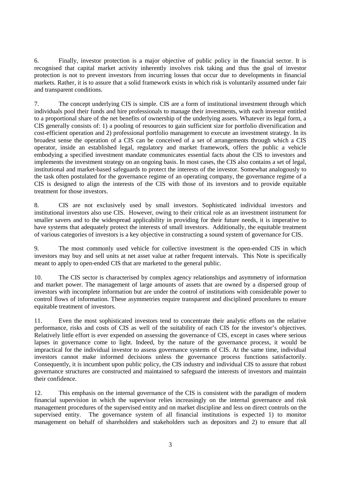6. Finally, investor protection is a major objective of public policy in the financial sector. It is recognised that capital market activity inherently involves risk taking and thus the goal of investor protection is not to prevent investors from incurring losses that occur due to developments in financial markets. Rather, it is to assure that a solid framework exists in which risk is voluntarily assumed under fair and transparent conditions.

7. The concept underlying CIS is simple. CIS are a form of institutional investment through which individuals pool their funds and hire professionals to manage their investments, with each investor entitled to a proportional share of the net benefits of ownership of the underlying assets. Whatever its legal form, a CIS generally consists of: 1) a pooling of resources to gain sufficient size for portfolio diversification and cost-efficient operation and 2) professional portfolio management to execute an investment strategy. In its broadest sense the operation of a CIS can be conceived of a set of arrangements through which a CIS operator, inside an established legal, regulatory and market framework, offers the public a vehicle embodying a specified investment mandate communicates essential facts about the CIS to investors and implements the investment strategy on an ongoing basis. In most cases, the CIS also contains a set of legal, institutional and market-based safeguards to protect the interests of the investor. Somewhat analogously to the task often postulated for the governance regime of an operating company, the governance regime of a CIS is designed to align the interests of the CIS with those of its investors and to provide equitable treatment for those investors.

8. CIS are not exclusively used by small investors. Sophisticated individual investors and institutional investors also use CIS. However, owing to their critical role as an investment instrument for smaller savers and to the widespread applicability in providing for their future needs, it is imperative to have systems that adequately protect the interests of small investors. Additionally, the equitable treatment of various categories of investors is a key objective in constructing a sound system of governance for CIS.

9. The most commonly used vehicle for collective investment is the open-ended CIS in which investors may buy and sell units at net asset value at rather frequent intervals. This Note is specifically meant to apply to open-ended CIS that are marketed to the general public.

10. The CIS sector is characterised by complex agency relationships and asymmetry of information and market power. The management of large amounts of assets that are owned by a dispersed group of investors with incomplete information but are under the control of institutions with considerable power to control flows of information. These asymmetries require transparent and disciplined procedures to ensure equitable treatment of investors.

11. Even the most sophisticated investors tend to concentrate their analytic efforts on the relative performance, risks and costs of CIS as well of the suitability of each CIS for the investor's objectives. Relatively little effort is ever expended on assessing the governance of CIS, except in cases where serious lapses in governance come to light. Indeed, by the nature of the governance process, it would be impractical for the individual investor to assess governance systems of CIS. At the same time, individual investors cannot make informed decisions unless the governance process functions satisfactorily. Consequently, it is incumbent upon public policy, the CIS industry and individual CIS to assure that robust governance structures are constructed and maintained to safeguard the interests of investors and maintain their confidence.

12. This emphasis on the internal governance of the CIS is consistent with the paradigm of modern financial supervision in which the supervisor relies increasingly on the internal governance and risk management procedures of the supervised entity and on market discipline and less on direct controls on the supervised entity. The governance system of all financial institutions is expected 1) to monitor management on behalf of shareholders and stakeholders such as depositors and 2) to ensure that all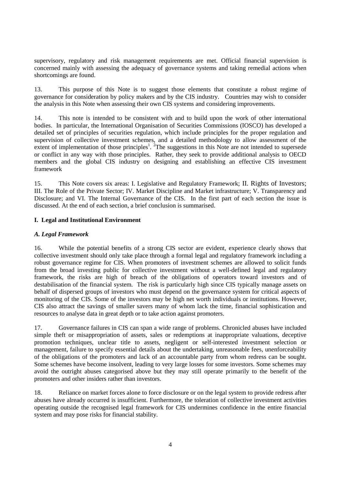supervisory, regulatory and risk management requirements are met. Official financial supervision is concerned mainly with assessing the adequacy of governance systems and taking remedial actions when shortcomings are found.

13. This purpose of this Note is to suggest those elements that constitute a robust regime of governance for consideration by policy makers and by the CIS industry. Countries may wish to consider the analysis in this Note when assessing their own CIS systems and considering improvements.

14. This note is intended to be consistent with and to build upon the work of other international bodies. In particular, the International Organisation of Securities Commissions (IOSCO) has developed a detailed set of principles of securities regulation, which include principles for the proper regulation and supervision of collective investment schemes, and a detailed methodology to allow assessment of the extent of implementation of those principles<sup>1</sup>. <sup>2</sup>The suggestions in this Note are not intended to supersede or conflict in any way with those principles. Rather, they seek to provide additional analysis to OECD members and the global CIS industry on designing and establishing an effective CIS investment framework

15. This Note covers six areas: I. Legislative and Regulatory Framework; II. Rights of Investors; III. The Role of the Private Sector; IV. Market Discipline and Market infrastructure; V. Transparency and Disclosure; and VI. The Internal Governance of the CIS. In the first part of each section the issue is discussed. At the end of each section, a brief conclusion is summarised.

#### **I. Legal and Institutional Environment**

#### *A. Legal Framework*

16. While the potential benefits of a strong CIS sector are evident, experience clearly shows that collective investment should only take place through a formal legal and regulatory framework including a robust governance regime for CIS. When promoters of investment schemes are allowed to solicit funds from the broad investing public for collective investment without a well-defined legal and regulatory framework, the risks are high of breach of the obligations of operators toward investors and of destabilisation of the financial system. The risk is particularly high since CIS typically manage assets on behalf of dispersed groups of investors who must depend on the governance system for critical aspects of monitoring of the CIS. Some of the investors may be high net worth individuals or institutions. However, CIS also attract the savings of smaller savers many of whom lack the time, financial sophistication and resources to analyse data in great depth or to take action against promoters.

17. Governance failures in CIS can span a wide range of problems. Chronicled abuses have included simple theft or misappropriation of assets, sales or redemptions at inappropriate valuations, deceptive promotion techniques, unclear title to assets, negligent or self-interested investment selection or management, failure to specify essential details about the undertaking, unreasonable fees, unenforceability of the obligations of the promoters and lack of an accountable party from whom redress can be sought. Some schemes have become insolvent, leading to very large losses for some investors. Some schemes may avoid the outright abuses categorised above but they may still operate primarily to the benefit of the promoters and other insiders rather than investors.

18. Reliance on market forces alone to force disclosure or on the legal system to provide redress after abuses have already occurred is insufficient. Furthermore, the toleration of collective investment activities operating outside the recognised legal framework for CIS undermines confidence in the entire financial system and may pose risks for financial stability.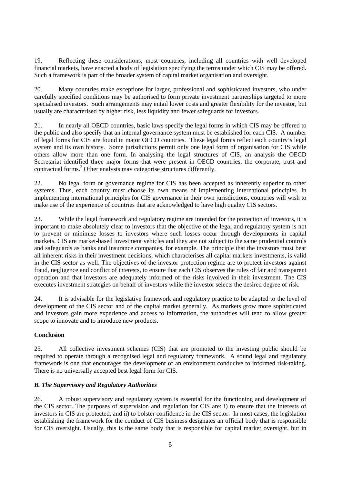19. Reflecting these considerations, most countries, including all countries with well developed financial markets, have enacted a body of legislation specifying the terms under which CIS may be offered. Such a framework is part of the broader system of capital market organisation and oversight.

20. Many countries make exceptions for larger, professional and sophisticated investors, who under carefully specified conditions may be authorised to form private investment partnerships targeted to more specialised investors. Such arrangements may entail lower costs and greater flexibility for the investor, but usually are characterised by higher risk, less liquidity and fewer safeguards for investors.

21. In nearly all OECD countries, basic laws specify the legal forms in which CIS may be offered to the public and also specify that an internal governance system must be established for each CIS. A number of legal forms for CIS are found in major OECD countries. These legal forms reflect each country's legal system and its own history. Some jurisdictions permit only one legal form of organisation for CIS while others allow more than one form. In analysing the legal structures of CIS, an analysis the OECD Secretariat identified three major forms that were present in OECD countries, the corporate, trust and contractual forms.<sup>3</sup> Other analysts may categorise structures differently.

22. No legal form or governance regime for CIS has been accepted as inherently superior to other systems. Thus, each country must choose its own means of implementing international principles. In implementing international principles for CIS governance in their own jurisdictions, countries will wish to make use of the experience of countries that are acknowledged to have high quality CIS sectors.

23. While the legal framework and regulatory regime are intended for the protection of investors, it is important to make absolutely clear to investors that the objective of the legal and regulatory system is not to prevent or minimise losses to investors where such losses occur through developments in capital markets. CIS are market-based investment vehicles and they are not subject to the same prudential controls and safeguards as banks and insurance companies, for example. The principle that the investors must bear all inherent risks in their investment decisions, which characterises all capital markets investments, is valid in the CIS sector as well. The objectives of the investor protection regime are to protect investors against fraud, negligence and conflict of interests, to ensure that each CIS observes the rules of fair and transparent operation and that investors are adequately informed of the risks involved in their investment. The CIS executes investment strategies on behalf of investors while the investor selects the desired degree of risk.

24. It is advisable for the legislative framework and regulatory practice to be adapted to the level of development of the CIS sector and of the capital market generally. As markets grow more sophisticated and investors gain more experience and access to information, the authorities will tend to allow greater scope to innovate and to introduce new products.

#### **Conclusion**

25. All collective investment schemes (CIS) that are promoted to the investing public should be required to operate through a recognised legal and regulatory framework. A sound legal and regulatory framework is one that encourages the development of an environment conducive to informed risk-taking. There is no universally accepted best legal form for CIS.

#### *B. The Supervisory and Regulatory Authorities*

26. A robust supervisory and regulatory system is essential for the functioning and development of the CIS sector. The purposes of supervision and regulation for CIS are: i) to ensure that the interests of investors in CIS are protected, and ii) to bolster confidence in the CIS sector. In most cases, the legislation establishing the framework for the conduct of CIS business designates an official body that is responsible for CIS oversight. Usually, this is the same body that is responsible for capital market oversight, but in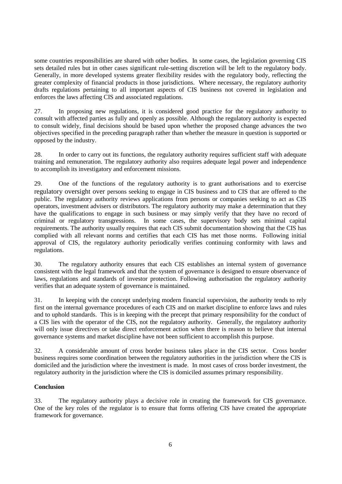some countries responsibilities are shared with other bodies. In some cases, the legislation governing CIS sets detailed rules but in other cases significant rule-setting discretion will be left to the regulatory body. Generally, in more developed systems greater flexibility resides with the regulatory body, reflecting the greater complexity of financial products in those jurisdictions. Where necessary, the regulatory authority drafts regulations pertaining to all important aspects of CIS business not covered in legislation and enforces the laws affecting CIS and associated regulations.

27. In proposing new regulations, it is considered good practice for the regulatory authority to consult with affected parties as fully and openly as possible. Although the regulatory authority is expected to consult widely, final decisions should be based upon whether the proposed change advances the two objectives specified in the preceding paragraph rather than whether the measure in question is supported or opposed by the industry.

28. In order to carry out its functions, the regulatory authority requires sufficient staff with adequate training and remuneration. The regulatory authority also requires adequate legal power and independence to accomplish its investigatory and enforcement missions.

29. One of the functions of the regulatory authority is to grant authorisations and to exercise regulatory oversight over persons seeking to engage in CIS business and to CIS that are offered to the public. The regulatory authority reviews applications from persons or companies seeking to act as CIS operators, investment advisers or distributors. The regulatory authority may make a determination that they have the qualifications to engage in such business or may simply verify that they have no record of criminal or regulatory transgressions. In some cases, the supervisory body sets minimal capital requirements. The authority usually requires that each CIS submit documentation showing that the CIS has complied with all relevant norms and certifies that each CIS has met those norms. Following initial approval of CIS, the regulatory authority periodically verifies continuing conformity with laws and regulations.

30. The regulatory authority ensures that each CIS establishes an internal system of governance consistent with the legal framework and that the system of governance is designed to ensure observance of laws, regulations and standards of investor protection. Following authorisation the regulatory authority verifies that an adequate system of governance is maintained.

31. In keeping with the concept underlying modern financial supervision, the authority tends to rely first on the internal governance procedures of each CIS and on market discipline to enforce laws and rules and to uphold standards. This is in keeping with the precept that primary responsibility for the conduct of a CIS lies with the operator of the CIS, not the regulatory authority. Generally, the regulatory authority will only issue directives or take direct enforcement action when there is reason to believe that internal governance systems and market discipline have not been sufficient to accomplish this purpose.

32. A considerable amount of cross border business takes place in the CIS sector. Cross border business requires some coordination between the regulatory authorities in the jurisdiction where the CIS is domiciled and the jurisdiction where the investment is made. In most cases of cross border investment, the regulatory authority in the jurisdiction where the CIS is domiciled assumes primary responsibility.

#### **Conclusion**

33. The regulatory authority plays a decisive role in creating the framework for CIS governance. One of the key roles of the regulator is to ensure that forms offering CIS have created the appropriate framework for governance.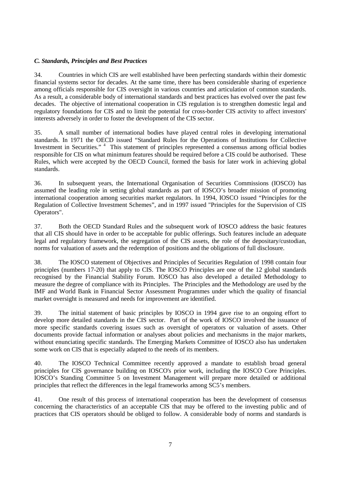### *C. Standards, Principles and Best Practices*

34. Countries in which CIS are well established have been perfecting standards within their domestic financial systems sector for decades. At the same time, there has been considerable sharing of experience among officials responsible for CIS oversight in various countries and articulation of common standards. As a result, a considerable body of international standards and best practices has evolved over the past few decades. The objective of international cooperation in CIS regulation is to strengthen domestic legal and regulatory foundations for CIS and to limit the potential for cross-border CIS activity to affect investors' interests adversely in order to foster the development of the CIS sector.

35. A small number of international bodies have played central roles in developing international standards. In 1971 the OECD issued "Standard Rules for the Operations of Institutions for Collective Investment in Securities."<sup>4</sup> This statement of principles represented a consensus among official bodies responsible for CIS on what minimum features should be required before a CIS could be authorised. These Rules, which were accepted by the OECD Council, formed the basis for later work in achieving global standards.

36. In subsequent years, the International Organisation of Securities Commissions (IOSCO) has assumed the leading role in setting global standards as part of IOSCO's broader mission of promoting international cooperation among securities market regulators. In 1994, IOSCO issued "Principles for the Regulation of Collective Investment Schemes", and in 1997 issued "Principles for the Supervision of CIS Operators".

37. Both the OECD Standard Rules and the subsequent work of IOSCO address the basic features that all CIS should have in order to be acceptable for public offerings. Such features include an adequate legal and regulatory framework, the segregation of the CIS assets, the role of the depositary/custodian, norms for valuation of assets and the redemption of positions and the obligations of full disclosure.

38. The IOSCO statement of Objectives and Principles of Securities Regulation of 1998 contain four principles (numbers 17-20) that apply to CIS. The IOSCO Principles are one of the 12 global standards recognised by the Financial Stability Forum. IOSCO has also developed a detailed Methodology to measure the degree of compliance with its Principles. The Principles and the Methodology are used by the IMF and World Bank in Financial Sector Assessment Programmes under which the quality of financial market oversight is measured and needs for improvement are identified.

39. The initial statement of basic principles by IOSCO in 1994 gave rise to an ongoing effort to develop more detailed standards in the CIS sector. Part of the work of IOSCO involved the issuance of more specific standards covering issues such as oversight of operators or valuation of assets. Other documents provide factual information or analyses about policies and mechanisms in the major markets, without enunciating specific standards. The Emerging Markets Committee of IOSCO also has undertaken some work on CIS that is especially adapted to the needs of its members.

40. The IOSCO Technical Committee recently approved a mandate to establish broad general principles for CIS governance building on IOSCO's prior work, including the IOSCO Core Principles. IOSCO's Standing Committee 5 on Investment Management will prepare more detailed or additional principles that reflect the differences in the legal frameworks among SC5's members.

41. One result of this process of international cooperation has been the development of consensus concerning the characteristics of an acceptable CIS that may be offered to the investing public and of practices that CIS operators should be obliged to follow. A considerable body of norms and standards is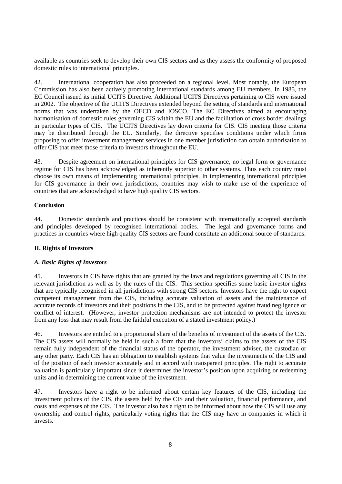available as countries seek to develop their own CIS sectors and as they assess the conformity of proposed domestic rules to international principles.

42. International cooperation has also proceeded on a regional level. Most notably, the European Commission has also been actively promoting international standards among EU members. In 1985, the EC Council issued its initial UCITS Directive. Additional UCITS Directives pertaining to CIS were issued in 2002. The objective of the UCITS Directives extended beyond the setting of standards and international norms that was undertaken by the OECD and IOSCO. The EC Directives aimed at encouraging harmonisation of domestic rules governing CIS within the EU and the facilitation of cross border dealings in particular types of CIS. The UCITS Directives lay down criteria for CIS. CIS meeting those criteria may be distributed through the EU. Similarly, the directive specifies conditions under which firms proposing to offer investment management services in one member jurisdiction can obtain authorisation to offer CIS that meet those criteria to investors throughout the EU.

43. Despite agreement on international principles for CIS governance, no legal form or governance regime for CIS has been acknowledged as inherently superior to other systems. Thus each country must choose its own means of implementing international principles. In implementing international principles for CIS governance in their own jurisdictions, countries may wish to make use of the experience of countries that are acknowledged to have high quality CIS sectors.

#### **Conclusion**

44. Domestic standards and practices should be consistent with internationally accepted standards and principles developed by recognised international bodies. The legal and governance forms and practices in countries where high quality CIS sectors are found constitute an additional source of standards.

#### **II. Rights of Investors**

#### *A. Basic Rights of Investors*

45. Investors in CIS have rights that are granted by the laws and regulations governing all CIS in the relevant jurisdiction as well as by the rules of the CIS. This section specifies some basic investor rights that are typically recognised in all jurisdictions with strong CIS sectors. Investors have the right to expect competent management from the CIS, including accurate valuation of assets and the maintenance of accurate records of investors and their positions in the CIS, and to be protected against fraud negligence or conflict of interest. (However, investor protection mechanisms are not intended to protect the investor from any loss that may result from the faithful execution of a stated investment policy.)

46. Investors are entitled to a proportional share of the benefits of investment of the assets of the CIS. The CIS assets will normally be held in such a form that the investors' claims to the assets of the CIS remain fully independent of the financial status of the operator, the investment adviser, the custodian or any other party. Each CIS has an obligation to establish systems that value the investments of the CIS and of the position of each investor accurately and in accord with transparent principles. The right to accurate valuation is particularly important since it determines the investor's position upon acquiring or redeeming units and in determining the current value of the investment.

47. Investors have a right to be informed about certain key features of the CIS, including the investment polices of the CIS, the assets held by the CIS and their valuation, financial performance, and costs and expenses of the CIS. The investor also has a right to be informed about how the CIS will use any ownership and control rights, particularly voting rights that the CIS may have in companies in which it invests.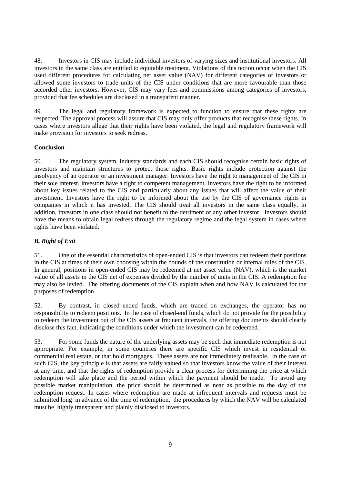48. Investors in CIS may include individual investors of varying sizes and institutional investors. All investors in the same class are entitled to equitable treatment. Violations of this notion occur when the CIS used different procedures for calculating net asset value (NAV) for different categories of investors or allowed some investors to trade units of the CIS under conditions that are more favourable than those accorded other investors. However, CIS may vary fees and commissions among categories of investors, provided that fee schedules are disclosed in a transparent manner.

49. The legal and regulatory framework is expected to function to ensure that these rights are respected. The approval process will assure that CIS may only offer products that recognise these rights. In cases where investors allege that their rights have been violated, the legal and regulatory framework will make provision for investors to seek redress.

#### **Conclusion**

50. The regulatory system, industry standards and each CIS should recognise certain basic rights of investors and maintain structures to protect those rights. Basic rights include protection against the insolvency of an operator or an investment manager. Investors have the right to management of the CIS in their sole interest. Investors have a right to competent management. Investors have the right to be informed about key issues related to the CIS and particularly about any issues that will affect the value of their investment. Investors have the right to be informed about the use by the CIS of governance rights in companies in which it has invested. The CIS should treat all investors in the same class equally. In addition, investors in one class should not benefit to the detriment of any other investor. Investors should have the means to obtain legal redress through the regulatory regime and the legal system in cases where rights have been violated.

## *B. Right of Exit*

51. One of the essential characteristics of open-ended CIS is that investors can redeem their positions in the CIS at times of their own choosing within the bounds of the constitution or internal rules of the CIS. In general, positions in open-ended CIS may be redeemed at net asset value (NAV), which is the market value of all assets in the CIS net of expenses divided by the number of units in the CIS. A redemption fee may also be levied. The offering documents of the CIS explain when and how NAV is calculated for the purposes of redemption.

52. By contrast, in closed–ended funds, which are traded on exchanges, the operator has no responsibility to redeem positions. In the case of closed-end funds, which do not provide for the possibility to redeem the investment out of the CIS assets at frequent intervals, the offering documents should clearly disclose this fact, indicating the conditions under which the investment can be redeemed.

53. For some funds the nature of the underlying assets may be such that immediate redemption is not appropriate. For example, in some countries there are specific CIS which invest in residential or commercial real estate, or that hold mortgages. These assets are not immediately realisable. In the case of such CIS, the key principle is that assets are fairly valued so that investors know the value of their interest at any time, and that the rights of redemption provide a clear process for determining the price at which redemption will take place and the period within which the payment should be made. To avoid any possible market manipulation, the price should be determined as near as possible to the day of the redemption request. In cases where redemption are made at infrequent intervals and requests must be submitted long in advance of the time of redemption, the procedures by which the NAV will be calculated must be highly transparent and plainly disclosed to investors.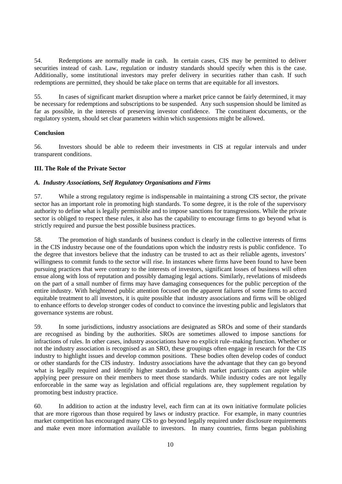54. Redemptions are normally made in cash. In certain cases, CIS may be permitted to deliver securities instead of cash. Law, regulation or industry standards should specify when this is the case. Additionally, some institutional investors may prefer delivery in securities rather than cash. If such redemptions are permitted, they should be take place on terms that are equitable for all investors.

55. In cases of significant market disruption where a market price cannot be fairly determined, it may be necessary for redemptions and subscriptions to be suspended. Any such suspension should be limited as far as possible, in the interests of preserving investor confidence. The constituent documents, or the regulatory system, should set clear parameters within which suspensions might be allowed.

#### **Conclusion**

56. Investors should be able to redeem their investments in CIS at regular intervals and under transparent conditions.

#### **III. The Role of the Private Sector**

#### *A. Industry Associations, Self Regulatory Organisations and Firms*

57. While a strong regulatory regime is indispensable in maintaining a strong CIS sector, the private sector has an important role in promoting high standards. To some degree, it is the role of the supervisory authority to define what is legally permissible and to impose sanctions for transgressions. While the private sector is obliged to respect these rules, it also has the capability to encourage firms to go beyond what is strictly required and pursue the best possible business practices.

58. The promotion of high standards of business conduct is clearly in the collective interests of firms in the CIS industry because one of the foundations upon which the industry rests is public confidence. To the degree that investors believe that the industry can be trusted to act as their reliable agents, investors' willingness to commit funds to the sector will rise. In instances where firms have been found to have been pursuing practices that were contrary to the interests of investors, significant losses of business will often ensue along with loss of reputation and possibly damaging legal actions. Similarly, revelations of misdeeds on the part of a small number of firms may have damaging consequences for the public perception of the entire industry. With heightened public attention focused on the apparent failures of some firms to accord equitable treatment to all investors, it is quite possible that industry associations and firms will be obliged to enhance efforts to develop stronger codes of conduct to convince the investing public and legislators that governance systems are robust.

59. In some jurisdictions, industry associations are designated as SROs and some of their standards are recognised as binding by the authorities. SROs are sometimes allowed to impose sanctions for infractions of rules. In other cases, industry associations have no explicit rule–making function. Whether or not the industry association is recognised as an SRO, these groupings often engage in research for the CIS industry to highlight issues and develop common positions. These bodies often develop codes of conduct or other standards for the CIS industry. Industry associations have the advantage that they can go beyond what is legally required and identify higher standards to which market participants can aspire while applying peer pressure on their members to meet those standards. While industry codes are not legally enforceable in the same way as legislation and official regulations are, they supplement regulation by promoting best industry practice.

60. In addition to action at the industry level, each firm can at its own initiative formulate policies that are more rigorous than those required by laws or industry practice. For example, in many countries market competition has encouraged many CIS to go beyond legally required under disclosure requirements and make even more information available to investors. In many countries, firms began publishing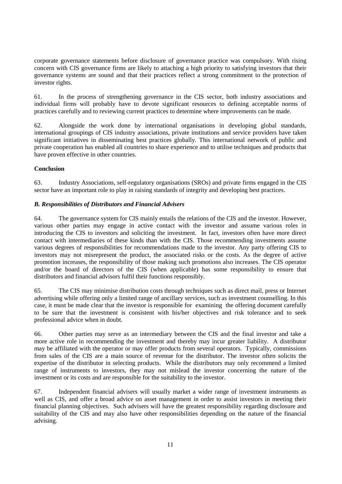corporate governance statements before disclosure of governance practice was compulsory. With rising concern with CIS governance firms are likely to attaching a high priority to satisfying investors that their governance systems are sound and that their practices reflect a strong commitment to the protection of investor rights.

61. In the process of strengthening governance in the CIS sector, both industry associations and individual firms will probably have to devote significant resources to defining acceptable norms of practices carefully and to reviewing current practices to determine where improvements can be made.

62. Alongside the work done by international organisations in developing global standards, international groupings of CIS industry associations, private institutions and service providers have taken significant initiatives in disseminating best practices globally. This international network of public and private cooperation has enabled all countries to share experience and to utilise techniques and products that have proven effective in other countries.

#### **Conclusion**

63. Industry Associations, self-regulatory organisations (SROs) and private firms engaged in the CIS sector have an important role to play in raising standards of integrity and developing best practices.

#### *B. Responsibilities of Distributors and Financial Advisers*

64. The governance system for CIS mainly entails the relations of the CIS and the investor. However, various other parties may engage in active contact with the investor and assume various roles in introducing the CIS to investors and soliciting the investment. In fact, investors often have more direct contact with intermediaries of these kinds than with the CIS. Those recommending investments assume various degrees of responsibilities for recommendations made to the investor. Any party offering CIS to investors may not misrepresent the product, the associated risks or the costs. As the degree of active promotion increases, the responsibility of those making such promotions also increases. The CIS operator and/or the board of directors of the CIS (when applicable) has some responsibility to ensure that distributors and financial advisors fulfil their functions responsibly.

65. The CIS may minimise distribution costs through techniques such as direct mail, press or Internet advertising while offering only a limited range of ancillary services, such as investment counselling. In this case, it must be made clear that the investor is responsible for examining the offering document carefully to be sure that the investment is consistent with his/her objectives and risk tolerance and to seek professional advice when in doubt.

66. Other parties may serve as an intermediary between the CIS and the final investor and take a more active role in recommending the investment and thereby may incur greater liability. A distributor may be affiliated with the operator or may offer products from several operators. Typically, commissions from sales of the CIS are a main source of revenue for the distributor. The investor often solicits the expertise of the distributor in selecting products. While the distributors may only recommend a limited range of instruments to investors, they may not mislead the investor concerning the nature of the investment or its costs and are responsible for the suitability to the investor.

67. Independent financial advisers will usually market a wider range of investment instruments as well as CIS, and offer a broad advice on asset management in order to assist investors in meeting their financial planning objectives. Such advisers will have the greatest responsibility regarding disclosure and suitability of the CIS and may also have other responsibilities depending on the nature of the financial advising.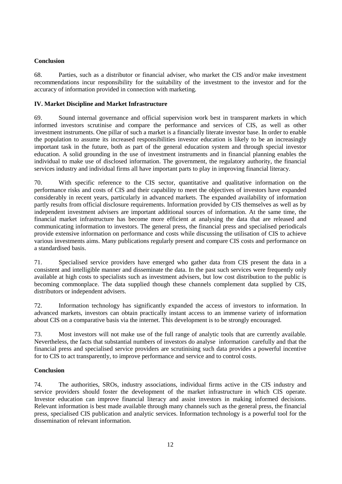## **Conclusion**

68. Parties, such as a distributor or financial adviser, who market the CIS and/or make investment recommendations incur responsibility for the suitability of the investment to the investor and for the accuracy of information provided in connection with marketing.

### **IV. Market Discipline and Market Infrastructure**

69. Sound internal governance and official supervision work best in transparent markets in which informed investors scrutinise and compare the performance and services of CIS, as well as other investment instruments. One pillar of such a market is a financially literate investor base. In order to enable the population to assume its increased responsibilities investor education is likely to be an increasingly important task in the future, both as part of the general education system and through special investor education. A solid grounding in the use of investment instruments and in financial planning enables the individual to make use of disclosed information. The government, the regulatory authority, the financial services industry and individual firms all have important parts to play in improving financial literacy.

70. With specific reference to the CIS sector, quantitative and qualitative information on the performance risks and costs of CIS and their capability to meet the objectives of investors have expanded considerably in recent years, particularly in advanced markets. The expanded availability of information partly results from official disclosure requirements. Information provided by CIS themselves as well as by independent investment advisers are important additional sources of information. At the same time, the financial market infrastructure has become more efficient at analysing the data that are released and communicating information to investors. The general press, the financial press and specialised periodicals provide extensive information on performance and costs while discussing the utilisation of CIS to achieve various investments aims. Many publications regularly present and compare CIS costs and performance on a standardised basis.

71. Specialised service providers have emerged who gather data from CIS present the data in a consistent and intelligible manner and disseminate the data. In the past such services were frequently only available at high costs to specialists such as investment advisers, but low cost distribution to the public is becoming commonplace. The data supplied though these channels complement data supplied by CIS, distributors or independent advisers.

72. Information technology has significantly expanded the access of investors to information. In advanced markets, investors can obtain practically instant access to an immense variety of information about CIS on a comparative basis via the internet. This development is to be strongly encouraged.

73. Most investors will not make use of the full range of analytic tools that are currently available. Nevertheless, the facts that substantial numbers of investors do analyse information carefully and that the financial press and specialised service providers are scrutinising such data provides a powerful incentive for to CIS to act transparently, to improve performance and service and to control costs.

#### **Conclusion**

74. The authorities, SROs, industry associations, individual firms active in the CIS industry and service providers should foster the development of the market infrastructure in which CIS operate. Investor education can improve financial literacy and assist investors in making informed decisions. Relevant information is best made available through many channels such as the general press, the financial press, specialised CIS publication and analytic services. Information technology is a powerful tool for the dissemination of relevant information.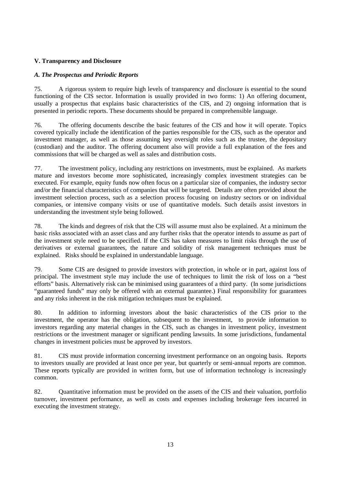## **V. Transparency and Disclosure**

### *A. The Prospectus and Periodic Reports*

75. A rigorous system to require high levels of transparency and disclosure is essential to the sound functioning of the CIS sector. Information is usually provided in two forms: 1) An offering document, usually a prospectus that explains basic characteristics of the CIS, and 2) ongoing information that is presented in periodic reports. These documents should be prepared in comprehensible language.

76. The offering documents describe the basic features of the CIS and how it will operate. Topics covered typically include the identification of the parties responsible for the CIS, such as the operator and investment manager, as well as those assuming key oversight roles such as the trustee, the depositary (custodian) and the auditor. The offering document also will provide a full explanation of the fees and commissions that will be charged as well as sales and distribution costs.

77. The investment policy, including any restrictions on investments, must be explained. As markets mature and investors become more sophisticated, increasingly complex investment strategies can be executed. For example, equity funds now often focus on a particular size of companies, the industry sector and/or the financial characteristics of companies that will be targeted. Details are often provided about the investment selection process, such as a selection process focusing on industry sectors or on individual companies, or intensive company visits or use of quantitative models. Such details assist investors in understanding the investment style being followed.

78. The kinds and degrees of risk that the CIS will assume must also be explained. At a minimum the basic risks associated with an asset class and any further risks that the operator intends to assume as part of the investment style need to be specified. If the CIS has taken measures to limit risks through the use of derivatives or external guarantees, the nature and solidity of risk management techniques must be explained. Risks should be explained in understandable language.

79. Some CIS are designed to provide investors with protection, in whole or in part, against loss of principal. The investment style may include the use of techniques to limit the risk of loss on a "best efforts" basis. Alternatively risk can be minimised using guarantees of a third party. (In some jurisdictions "guaranteed funds" may only be offered with an external guarantee.) Final responsibility for guarantees and any risks inherent in the risk mitigation techniques must be explained.

80. In addition to informing investors about the basic characteristics of the CIS prior to the investment, the operator has the obligation, subsequent to the investment, to provide information to investors regarding any material changes in the CIS, such as changes in investment policy, investment restrictions or the investment manager or significant pending lawsuits. In some jurisdictions, fundamental changes in investment policies must be approved by investors.

81. CIS must provide information concerning investment performance on an ongoing basis. Reports to investors usually are provided at least once per year, but quarterly or semi-annual reports are common. These reports typically are provided in written form, but use of information technology is increasingly common.

82. Quantitative information must be provided on the assets of the CIS and their valuation, portfolio turnover, investment performance, as well as costs and expenses including brokerage fees incurred in executing the investment strategy.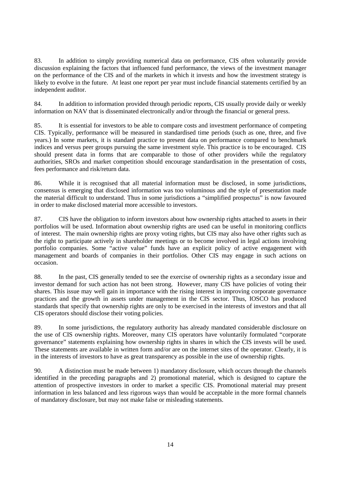83. In addition to simply providing numerical data on performance, CIS often voluntarily provide discussion explaining the factors that influenced fund performance, the views of the investment manager on the performance of the CIS and of the markets in which it invests and how the investment strategy is likely to evolve in the future. At least one report per year must include financial statements certified by an independent auditor.

84. In addition to information provided through periodic reports, CIS usually provide daily or weekly information on NAV that is disseminated electronically and/or through the financial or general press.

85. It is essential for investors to be able to compare costs and investment performance of competing CIS. Typically, performance will be measured in standardised time periods (such as one, three, and five years.) In some markets, it is standard practice to present data on performance compared to benchmark indices and versus peer groups pursuing the same investment style. This practice is to be encouraged. CIS should present data in forms that are comparable to those of other providers while the regulatory authorities, SROs and market competition should encourage standardisation in the presentation of costs, fees performance and risk/return data.

86. While it is recognised that all material information must be disclosed, in some jurisdictions, consensus is emerging that disclosed information was too voluminous and the style of presentation made the material difficult to understand. Thus in some jurisdictions a "simplified prospectus" is now favoured in order to make disclosed material more accessible to investors.

87. CIS have the obligation to inform investors about how ownership rights attached to assets in their portfolios will be used. Information about ownership rights are used can be useful in monitoring conflicts of interest. The main ownership rights are proxy voting rights, but CIS may also have other rights such as the right to participate actively in shareholder meetings or to become involved in legal actions involving portfolio companies. Some "active value" funds have an explicit policy of active engagement with management and boards of companies in their portfolios. Other CIS may engage in such actions on occasion.

88. In the past, CIS generally tended to see the exercise of ownership rights as a secondary issue and investor demand for such action has not been strong. However, many CIS have policies of voting their shares. This issue may well gain in importance with the rising interest in improving corporate governance practices and the growth in assets under management in the CIS sector. Thus, IOSCO has produced standards that specify that ownership rights are only to be exercised in the interests of investors and that all CIS operators should disclose their voting policies.

89. In some jurisdictions, the regulatory authority has already mandated considerable disclosure on the use of CIS ownership rights. Moreover, many CIS operators have voluntarily formulated "corporate governance" statements explaining how ownership rights in shares in which the CIS invests will be used. These statements are available in written form and/or are on the internet sites of the operator. Clearly, it is in the interests of investors to have as great transparency as possible in the use of ownership rights.

90. A distinction must be made between 1) mandatory disclosure, which occurs through the channels identified in the preceding paragraphs and 2) promotional material, which is designed to capture the attention of prospective investors in order to market a specific CIS. Promotional material may present information in less balanced and less rigorous ways than would be acceptable in the more formal channels of mandatory disclosure, but may not make false or misleading statements.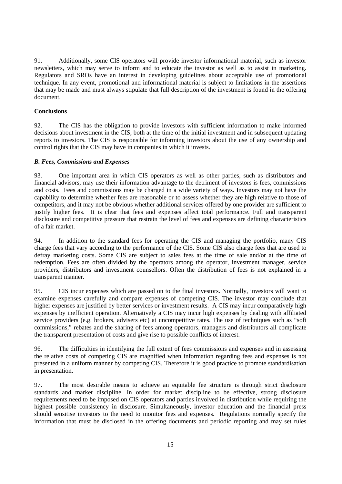91. Additionally, some CIS operators will provide investor informational material, such as investor newsletters, which may serve to inform and to educate the investor as well as to assist in marketing. Regulators and SROs have an interest in developing guidelines about acceptable use of promotional technique. In any event, promotional and informational material is subject to limitations in the assertions that may be made and must always stipulate that full description of the investment is found in the offering document.

#### **Conclusions**

92. The CIS has the obligation to provide investors with sufficient information to make informed decisions about investment in the CIS, both at the time of the initial investment and in subsequent updating reports to investors. The CIS is responsible for informing investors about the use of any ownership and control rights that the CIS may have in companies in which it invests.

#### *B. Fees, Commissions and Expenses*

93. One important area in which CIS operators as well as other parties, such as distributors and financial advisors, may use their information advantage to the detriment of investors is fees, commissions and costs. Fees and commissions may be charged in a wide variety of ways. Investors may not have the capability to determine whether fees are reasonable or to assess whether they are high relative to those of competitors, and it may not be obvious whether additional services offered by one provider are sufficient to justify higher fees. It is clear that fees and expenses affect total performance. Full and transparent disclosure and competitive pressure that restrain the level of fees and expenses are defining characteristics of a fair market.

94. In addition to the standard fees for operating the CIS and managing the portfolio, many CIS charge fees that vary according to the performance of the CIS. Some CIS also charge fees that are used to defray marketing costs. Some CIS are subject to sales fees at the time of sale and/or at the time of redemption. Fees are often divided by the operators among the operator, investment manager, service providers, distributors and investment counsellors. Often the distribution of fees is not explained in a transparent manner.

95. CIS incur expenses which are passed on to the final investors. Normally, investors will want to examine expenses carefully and compare expenses of competing CIS. The investor may conclude that higher expenses are justified by better services or investment results. A CIS may incur comparatively high expenses by inefficient operation. Alternatively a CIS may incur high expenses by dealing with affiliated service providers (e.g. brokers, advisers etc) at uncompetitive rates. The use of techniques such as "soft commissions," rebates and the sharing of fees among operators, managers and distributors all complicate the transparent presentation of costs and give rise to possible conflicts of interest.

96. The difficulties in identifying the full extent of fees commissions and expenses and in assessing the relative costs of competing CIS are magnified when information regarding fees and expenses is not presented in a uniform manner by competing CIS. Therefore it is good practice to promote standardisation in presentation.

97. The most desirable means to achieve an equitable fee structure is through strict disclosure standards and market discipline. In order for market discipline to be effective, strong disclosure requirements need to be imposed on CIS operators and parties involved in distribution while requiring the highest possible consistency in disclosure. Simultaneously, investor education and the financial press should sensitise investors to the need to monitor fees and expenses. Regulations normally specify the information that must be disclosed in the offering documents and periodic reporting and may set rules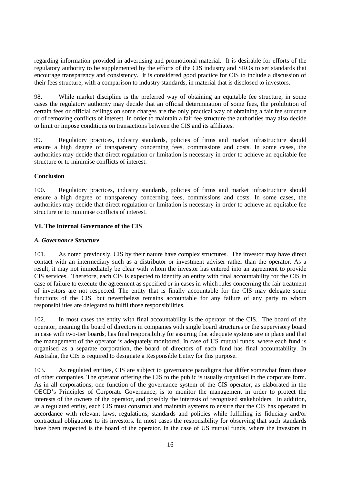regarding information provided in advertising and promotional material. It is desirable for efforts of the regulatory authority to be supplemented by the efforts of the CIS industry and SROs to set standards that encourage transparency and consistency. It is considered good practice for CIS to include a discussion of their fees structure, with a comparison to industry standards, in material that is disclosed to investors.

98. While market discipline is the preferred way of obtaining an equitable fee structure, in some cases the regulatory authority may decide that an official determination of some fees, the prohibition of certain fees or official ceilings on some charges are the only practical way of obtaining a fair fee structure or of removing conflicts of interest. In order to maintain a fair fee structure the authorities may also decide to limit or impose conditions on transactions between the CIS and its affiliates.

99. Regulatory practices, industry standards, policies of firms and market infrastructure should ensure a high degree of transparency concerning fees, commissions and costs. In some cases, the authorities may decide that direct regulation or limitation is necessary in order to achieve an equitable fee structure or to minimise conflicts of interest.

#### **Conclusion**

100. Regulatory practices, industry standards, policies of firms and market infrastructure should ensure a high degree of transparency concerning fees, commissions and costs. In some cases, the authorities may decide that direct regulation or limitation is necessary in order to achieve an equitable fee structure or to minimise conflicts of interest.

#### **VI. The Internal Governance of the CIS**

#### *A. Governance Structure*

101. As noted previously, CIS by their nature have complex structures. The investor may have direct contact with an intermediary such as a distributor or investment adviser rather than the operator. As a result, it may not immediately be clear with whom the investor has entered into an agreement to provide CIS services. Therefore, each CIS is expected to identify an entity with final accountability for the CIS in case of failure to execute the agreement as specified or in cases in which rules concerning the fair treatment of investors are not respected. The entity that is finally accountable for the CIS may delegate some functions of the CIS, but nevertheless remains accountable for any failure of any party to whom responsibilities are delegated to fulfil those responsibilities.

102. In most cases the entity with final accountability is the operator of the CIS. The board of the operator, meaning the board of directors in companies with single board structures or the supervisory board in case with two-tier boards, has final responsibility for assuring that adequate systems are in place and that the management of the operator is adequately monitored. In case of US mutual funds, where each fund is organised as a separate corporation, the board of directors of each fund has final accountability. In Australia, the CIS is required to designate a Responsible Entity for this purpose.

103. As regulated entities, CIS are subject to governance paradigms that differ somewhat from those of other companies. The operator offering the CIS to the public is usually organised in the corporate form. As in all corporations, one function of the governance system of the CIS operator, as elaborated in the OECD's Principles of Corporate Governance, is to monitor the management in order to protect the interests of the owners of the operator, and possibly the interests of recognised stakeholders. In addition, as a regulated entity, each CIS must construct and maintain systems to ensure that the CIS has operated in accordance with relevant laws, regulations, standards and policies while fulfilling its fiduciary and/or contractual obligations to its investors. In most cases the responsibility for observing that such standards have been respected is the board of the operator. In the case of US mutual funds, where the investors in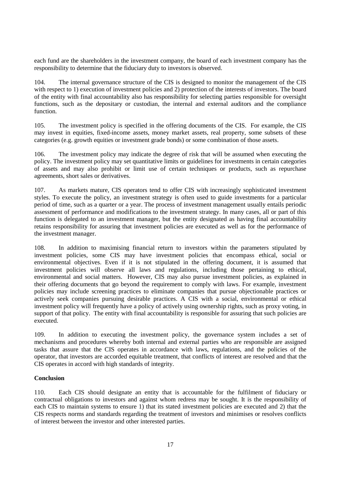each fund are the shareholders in the investment company, the board of each investment company has the responsibility to determine that the fiduciary duty to investors is observed.

104. The internal governance structure of the CIS is designed to monitor the management of the CIS with respect to 1) execution of investment policies and 2) protection of the interests of investors. The board of the entity with final accountability also has responsibility for selecting parties responsible for oversight functions, such as the depositary or custodian, the internal and external auditors and the compliance function.

105. The investment policy is specified in the offering documents of the CIS. For example, the CIS may invest in equities, fixed-income assets, money market assets, real property, some subsets of these categories (e.g. growth equities or investment grade bonds) or some combination of those assets.

106. The investment policy may indicate the degree of risk that will be assumed when executing the policy. The investment policy may set quantitative limits or guidelines for investments in certain categories of assets and may also prohibit or limit use of certain techniques or products, such as repurchase agreements, short sales or derivatives.

107. As markets mature, CIS operators tend to offer CIS with increasingly sophisticated investment styles. To execute the policy, an investment strategy is often used to guide investments for a particular period of time, such as a quarter or a year. The process of investment management usually entails periodic assessment of performance and modifications to the investment strategy. In many cases, all or part of this function is delegated to an investment manager, but the entity designated as having final accountability retains responsibility for assuring that investment policies are executed as well as for the performance of the investment manager.

108. In addition to maximising financial return to investors within the parameters stipulated by investment policies, some CIS may have investment policies that encompass ethical, social or environmental objectives. Even if it is not stipulated in the offering document, it is assumed that investment policies will observe all laws and regulations, including those pertaining to ethical, environmental and social matters. However, CIS may also pursue investment policies, as explained in their offering documents that go beyond the requirement to comply with laws. For example, investment policies may include screening practices to eliminate companies that pursue objectionable practices or actively seek companies pursuing desirable practices. A CIS with a social, environmental or ethical investment policy will frequently have a policy of actively using ownership rights, such as proxy voting, in support of that policy. The entity with final accountability is responsible for assuring that such policies are executed.

109. In addition to executing the investment policy, the governance system includes a set of mechanisms and procedures whereby both internal and external parties who are responsible are assigned tasks that assure that the CIS operates in accordance with laws, regulations, and the policies of the operator, that investors are accorded equitable treatment, that conflicts of interest are resolved and that the CIS operates in accord with high standards of integrity.

#### **Conclusion**

110. Each CIS should designate an entity that is accountable for the fulfilment of fiduciary or contractual obligations to investors and against whom redress may be sought. It is the responsibility of each CIS to maintain systems to ensure 1) that its stated investment policies are executed and 2) that the CIS respects norms and standards regarding the treatment of investors and minimises or resolves conflicts of interest between the investor and other interested parties.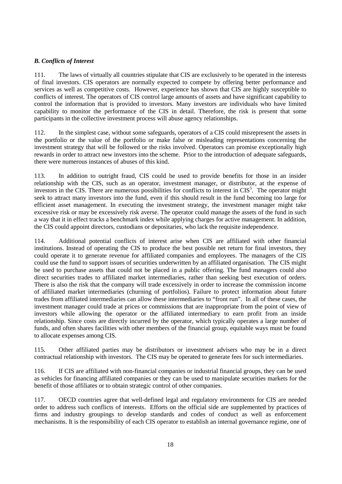## *B. Conflicts of Interest*

111. The laws of virtually all countries stipulate that CIS are exclusively to be operated in the interests of final investors. CIS operators are normally expected to compete by offering better performance and services as well as competitive costs. However, experience has shown that CIS are highly susceptible to conflicts of interest. The operators of CIS control large amounts of assets and have significant capability to control the information that is provided to investors. Many investors are individuals who have limited capability to monitor the performance of the CIS in detail. Therefore, the risk is present that some participants in the collective investment process will abuse agency relationships.

112. In the simplest case, without some safeguards, operators of a CIS could misrepresent the assets in the portfolio or the value of the portfolio or make false or misleading representations concerning the investment strategy that will be followed or the risks involved. Operators can promise exceptionally high rewards in order to attract new investors into the scheme. Prior to the introduction of adequate safeguards, there were numerous instances of abuses of this kind.

113. In addition to outright fraud, CIS could be used to provide benefits for those in an insider relationship with the CIS, such as an operator, investment manager, or distributor, at the expense of investors in the CIS. There are numerous possibilities for conflicts to interest in CIS<sup>5</sup>. The operator might seek to attract many investors into the fund, even if this should result in the fund becoming too large for efficient asset management. In executing the investment strategy, the investment manager might take excessive risk or may be excessively risk averse. The operator could manage the assets of the fund in such a way that it in effect tracks a benchmark index while applying charges for active management. In addition, the CIS could appoint directors, custodians or depositaries, who lack the requisite independence.

114. Additional potential conflicts of interest arise when CIS are affiliated with other financial institutions. Instead of operating the CIS to produce the best possible net return for final investors, they could operate it to generate revenue for affiliated companies and employees. The managers of the CIS could use the fund to support issues of securities underwritten by an affiliated organisation. The CIS might be used to purchase assets that could not be placed in a public offering. The fund managers could also direct securities trades to affiliated market intermediaries, rather than seeking best execution of orders. There is also the risk that the company will trade excessively in order to increase the commission income of affiliated market intermediaries (churning of portfolios). Failure to protect information about future trades from affiliated intermediaries can allow these intermediaries to "front run". In all of these cases, the investment manager could trade at prices or commissions that are inappropriate from the point of view of investors while allowing the operator or the affiliated intermediary to earn profit from an inside relationship. Since costs are directly incurred by the operator, which typically operates a large number of funds, and often shares facilities with other members of the financial group, equitable ways must be found to allocate expenses among CIS.

115. Other affiliated parties may be distributors or investment advisers who may be in a direct contractual relationship with investors. The CIS may be operated to generate fees for such intermediaries.

116. If CIS are affiliated with non-financial companies or industrial financial groups, they can be used as vehicles for financing affiliated companies or they can be used to manipulate securities markets for the benefit of those affiliates or to obtain strategic control of other companies.

117. OECD countries agree that well-defined legal and regulatory environments for CIS are needed order to address such conflicts of interests. Efforts on the official side are supplemented by practices of firms and industry groupings to develop standards and codes of conduct as well as enforcement mechanisms. It is the responsibility of each CIS operator to establish an internal governance regime, one of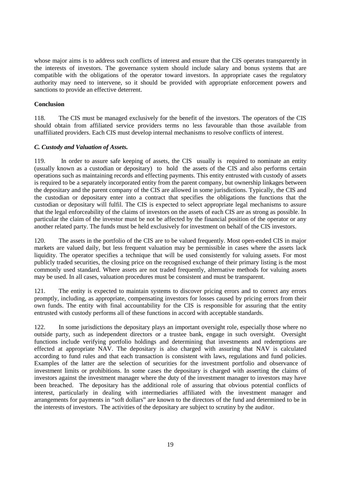whose major aims is to address such conflicts of interest and ensure that the CIS operates transparently in the interests of investors. The governance system should include salary and bonus systems that are compatible with the obligations of the operator toward investors. In appropriate cases the regulatory authority may need to intervene, so it should be provided with appropriate enforcement powers and sanctions to provide an effective deterrent.

#### **Conclusion**

118. The CIS must be managed exclusively for the benefit of the investors. The operators of the CIS should obtain from affiliated service providers terms no less favourable than those available from unaffiliated providers. Each CIS must develop internal mechanisms to resolve conflicts of interest.

#### *C. Custody and Valuation of Assets.*

119. In order to assure safe keeping of assets, the CIS usually is required to nominate an entity (usually known as a custodian or depositary) to hold the assets of the CIS and also performs certain operations such as maintaining records and effecting payments. This entity entrusted with custody of assets is required to be a separately incorporated entity from the parent company, but ownership linkages between the depositary and the parent company of the CIS are allowed in some jurisdictions. Typically, the CIS and the custodian or depositary enter into a contract that specifies the obligations the functions that the custodian or depositary will fulfil. The CIS is expected to select appropriate legal mechanisms to assure that the legal enforceability of the claims of investors on the assets of each CIS are as strong as possible. In particular the claim of the investor must be not be affected by the financial position of the operator or any another related party. The funds must be held exclusively for investment on behalf of the CIS investors.

120. The assets in the portfolio of the CIS are to be valued frequently. Most open-ended CIS in major markets are valued daily, but less frequent valuation may be permissible in cases where the assets lack liquidity. The operator specifies a technique that will be used consistently for valuing assets. For most publicly traded securities, the closing price on the recognised exchange of their primary listing is the most commonly used standard. Where assets are not traded frequently, alternative methods for valuing assets may be used. In all cases, valuation procedures must be consistent and must be transparent.

121. The entity is expected to maintain systems to discover pricing errors and to correct any errors promptly, including, as appropriate, compensating investors for losses caused by pricing errors from their own funds. The entity with final accountability for the CIS is responsible for assuring that the entity entrusted with custody performs all of these functions in accord with acceptable standards.

122. In some jurisdictions the depositary plays an important oversight role, especially those where no outside party, such as independent directors or a trustee bank, engage in such oversight. Oversight functions include verifying portfolio holdings and determining that investments and redemptions are effected at appropriate NAV. The depositary is also charged with assuring that NAV is calculated according to fund rules and that each transaction is consistent with laws, regulations and fund policies. Examples of the latter are the selection of securities for the investment portfolio and observance of investment limits or prohibitions. In some cases the depositary is charged with asserting the claims of investors against the investment manager where the duty of the investment manager to investors may have been breached. The depositary has the additional role of assuring that obvious potential conflicts of interest, particularly in dealing with intermediaries affiliated with the investment manager and arrangements for payments in "soft dollars" are known to the directors of the fund and determined to be in the interests of investors. The activities of the depositary are subject to scrutiny by the auditor.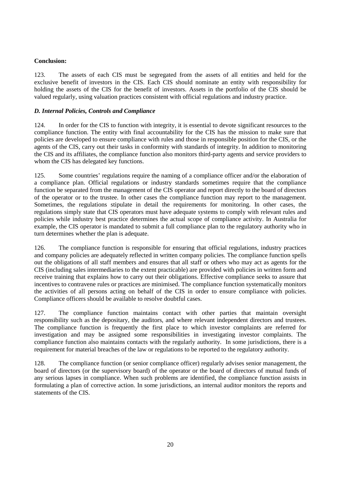## **Conclusion:**

123. The assets of each CIS must be segregated from the assets of all entities and held for the exclusive benefit of investors in the CIS. Each CIS should nominate an entity with responsibility for holding the assets of the CIS for the benefit of investors. Assets in the portfolio of the CIS should be valued regularly, using valuation practices consistent with official regulations and industry practice.

## *D. Internal Policies, Controls and Compliance*

124. In order for the CIS to function with integrity, it is essential to devote significant resources to the compliance function. The entity with final accountability for the CIS has the mission to make sure that policies are developed to ensure compliance with rules and those in responsible position for the CIS, or the agents of the CIS, carry out their tasks in conformity with standards of integrity. In addition to monitoring the CIS and its affiliates, the compliance function also monitors third-party agents and service providers to whom the CIS has delegated key functions.

125. Some countries' regulations require the naming of a compliance officer and/or the elaboration of a compliance plan. Official regulations or industry standards sometimes require that the compliance function be separated from the management of the CIS operator and report directly to the board of directors of the operator or to the trustee. In other cases the compliance function may report to the management. Sometimes, the regulations stipulate in detail the requirements for monitoring. In other cases, the regulations simply state that CIS operators must have adequate systems to comply with relevant rules and policies while industry best practice determines the actual scope of compliance activity. In Australia for example, the CIS operator is mandated to submit a full compliance plan to the regulatory authority who in turn determines whether the plan is adequate.

126. The compliance function is responsible for ensuring that official regulations, industry practices and company policies are adequately reflected in written company policies. The compliance function spells out the obligations of all staff members and ensures that all staff or others who may act as agents for the CIS (including sales intermediaries to the extent practicable) are provided with policies in written form and receive training that explains how to carry out their obligations. Effective compliance seeks to assure that incentives to contravene rules or practices are minimised. The compliance function systematically monitors the activities of all persons acting on behalf of the CIS in order to ensure compliance with policies. Compliance officers should be available to resolve doubtful cases.

127. The compliance function maintains contact with other parties that maintain oversight responsibility such as the depositary, the auditors, and where relevant independent directors and trustees. The compliance function is frequently the first place to which investor complaints are referred for investigation and may be assigned some responsibilities in investigating investor complaints. The compliance function also maintains contacts with the regularly authority. In some jurisdictions, there is a requirement for material breaches of the law or regulations to be reported to the regulatory authority.

128. The compliance function (or senior compliance officer) regularly advises senior management, the board of directors (or the supervisory board) of the operator or the board of directors of mutual funds of any serious lapses in compliance. When such problems are identified, the compliance function assists in formulating a plan of corrective action. In some jurisdictions, an internal auditor monitors the reports and statements of the CIS.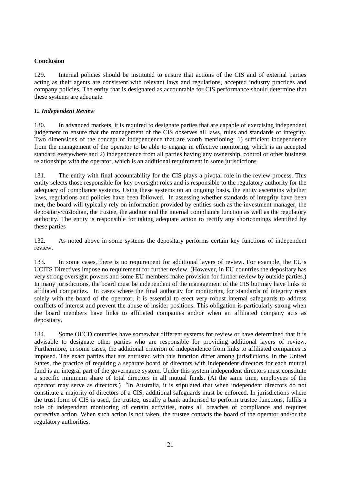## **Conclusion**

129. Internal policies should be instituted to ensure that actions of the CIS and of external parties acting as their agents are consistent with relevant laws and regulations, accepted industry practices and company policies. The entity that is designated as accountable for CIS performance should determine that these systems are adequate.

## *E. Independent Review*

130. In advanced markets, it is required to designate parties that are capable of exercising independent judgement to ensure that the management of the CIS observes all laws, rules and standards of integrity. Two dimensions of the concept of independence that are worth mentioning: 1) sufficient independence from the management of the operator to be able to engage in effective monitoring, which is an accepted standard everywhere and 2) independence from all parties having any ownership, control or other business relationships with the operator, which is an additional requirement in some jurisdictions.

131. The entity with final accountability for the CIS plays a pivotal role in the review process. This entity selects those responsible for key oversight roles and is responsible to the regulatory authority for the adequacy of compliance systems. Using these systems on an ongoing basis, the entity ascertains whether laws, regulations and policies have been followed. In assessing whether standards of integrity have been met, the board will typically rely on information provided by entities such as the investment manager, the depositary/custodian, the trustee, the auditor and the internal compliance function as well as the regulatory authority. The entity is responsible for taking adequate action to rectify any shortcomings identified by these parties

132. As noted above in some systems the depositary performs certain key functions of independent review.

133. In some cases, there is no requirement for additional layers of review. For example, the EU's UCITS Directives impose no requirement for further review. (However, in EU countries the depositary has very strong oversight powers and some EU members make provision for further review by outside parties.) In many jurisdictions, the board must be independent of the management of the CIS but may have links to affiliated companies. In cases where the final authority for monitoring for standards of integrity rests solely with the board of the operator, it is essential to erect very robust internal safeguards to address conflicts of interest and prevent the abuse of insider positions. This obligation is particularly strong when the board members have links to affiliated companies and/or when an affiliated company acts as depositary.

134. Some OECD countries have somewhat different systems for review or have determined that it is advisable to designate other parties who are responsible for providing additional layers of review. Furthermore, in some cases, the additional criterion of independence from links to affiliated companies is imposed. The exact parties that are entrusted with this function differ among jurisdictions. In the United States, the practice of requiring a separate board of directors with independent directors for each mutual fund is an integral part of the governance system. Under this system independent directors must constitute a specific minimum share of total directors in all mutual funds. (At the same time, employees of the operator may serve as directors.) <sup>6</sup>In Australia, it is stipulated that when independent directors do not constitute a majority of directors of a CIS, additional safeguards must be enforced. In jurisdictions where the trust form of CIS is used, the trustee, usually a bank authorised to perform trustee functions, fulfils a role of independent monitoring of certain activities, notes all breaches of compliance and requires corrective action. When such action is not taken, the trustee contacts the board of the operator and/or the regulatory authorities.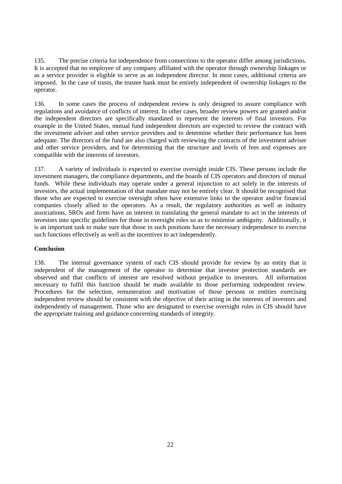135. The precise criteria for independence from connections to the operator differ among jurisdictions. It is accepted that no employee of any company affiliated with the operator through ownership linkages or as a service provider is eligible to serve as an independent director. In most cases, additional criteria are imposed. In the case of trusts, the trustee bank must be entirely independent of ownership linkages to the operator.

136. In some cases the process of independent review is only designed to assure compliance with regulations and avoidance of conflicts of interest. In other cases, broader review powers are granted and/or the independent directors are specifically mandated to represent the interests of final investors. For example in the United States, mutual fund independent directors are expected to review the contract with the investment adviser and other service providers and to determine whether their performance has been adequate. The directors of the fund are also charged with reviewing the contracts of the investment adviser and other service providers, and for determining that the structure and levels of fees and expenses are compatible with the interests of investors.

137. A variety of individuals is expected to exercise oversight inside CIS. These persons include the investment managers, the compliance departments, and the boards of CIS operators and directors of mutual funds. While these individuals may operate under a general injunction to act solely in the interests of investors, the actual implementation of that mandate may not be entirely clear. It should be recognised that those who are expected to exercise oversight often have extensive links to the operator and/or financial companies closely allied to the operators. As a result, the regulatory authorities as well as industry associations, SROs and firms have an interest in translating the general mandate to act in the interests of investors into specific guidelines for those in oversight roles so as to minimise ambiguity. Additionally, it is an important task to make sure that those in such positions have the necessary independence to exercise such functions effectively as well as the incentives to act independently.

#### **Conclusion**

138. The internal governance system of each CIS should provide for review by an entity that is independent of the management of the operator to determine that investor protection standards are observed and that conflicts of interest are resolved without prejudice to investors. All information necessary to fulfil this function should be made available to those performing independent review. Procedures for the selection, remuneration and motivation of those persons or entities exercising independent review should be consistent with the objective of their acting in the interests of investors and independently of management. Those who are designated to exercise oversight roles in CIS should have the appropriate training and guidance concerning standards of integrity.